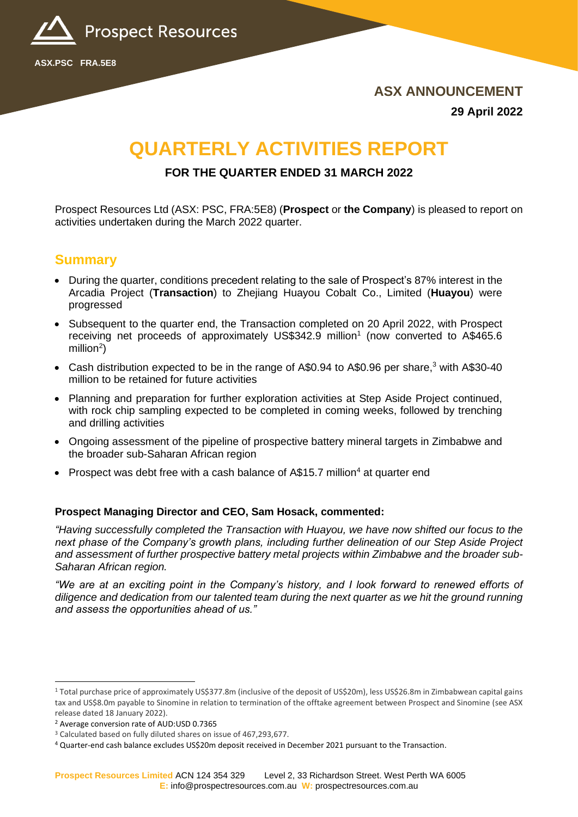

**ASX ANNOUNCEMENT 29 April 2022**

# **QUARTERLY ACTIVITIES REPORT**

### **FOR THE QUARTER ENDED 31 MARCH 2022**

Prospect Resources Ltd (ASX: PSC, FRA:5E8) (**Prospect** or **the Company**) is pleased to report on activities undertaken during the March 2022 quarter.

## **Summary**

**ASX.PSC FRA.5E8**

- During the quarter, conditions precedent relating to the sale of Prospect's 87% interest in the Arcadia Project (**Transaction**) to Zhejiang Huayou Cobalt Co., Limited (**Huayou**) were progressed
- Subsequent to the quarter end, the Transaction completed on 20 April 2022, with Prospect receiving net proceeds of approximately US\$342.9 million<sup>1</sup> (now converted to A\$465.6 million $^2$ )
- Cash distribution expected to be in the range of A\$0.94 to A\$0.96 per share,<sup>3</sup> with A\$30-40 million to be retained for future activities
- Planning and preparation for further exploration activities at Step Aside Project continued, with rock chip sampling expected to be completed in coming weeks, followed by trenching and drilling activities
- Ongoing assessment of the pipeline of prospective battery mineral targets in Zimbabwe and the broader sub-Saharan African region
- Prospect was debt free with a cash balance of  $\mathsf{A}\$15.7$  million<sup>4</sup> at quarter end

#### **Prospect Managing Director and CEO, Sam Hosack, commented:**

*"Having successfully completed the Transaction with Huayou, we have now shifted our focus to the next phase of the Company's growth plans, including further delineation of our Step Aside Project and assessment of further prospective battery metal projects within Zimbabwe and the broader sub-Saharan African region.*

*"We are at an exciting point in the Company's history, and I look forward to renewed efforts of diligence and dedication from our talented team during the next quarter as we hit the ground running and assess the opportunities ahead of us."*

<sup>&</sup>lt;sup>1</sup> Total purchase price of approximately US\$377.8m (inclusive of the deposit of US\$20m), less US\$26.8m in Zimbabwean capital gains tax and US\$8.0m payable to Sinomine in relation to termination of the offtake agreement between Prospect and Sinomine (see ASX release dated 18 January 2022).

<sup>2</sup> Average conversion rate of AUD:USD 0.7365

<sup>3</sup> Calculated based on fully diluted shares on issue of 467,293,677.

<sup>4</sup> Quarter-end cash balance excludes US\$20m deposit received in December 2021 pursuant to the Transaction.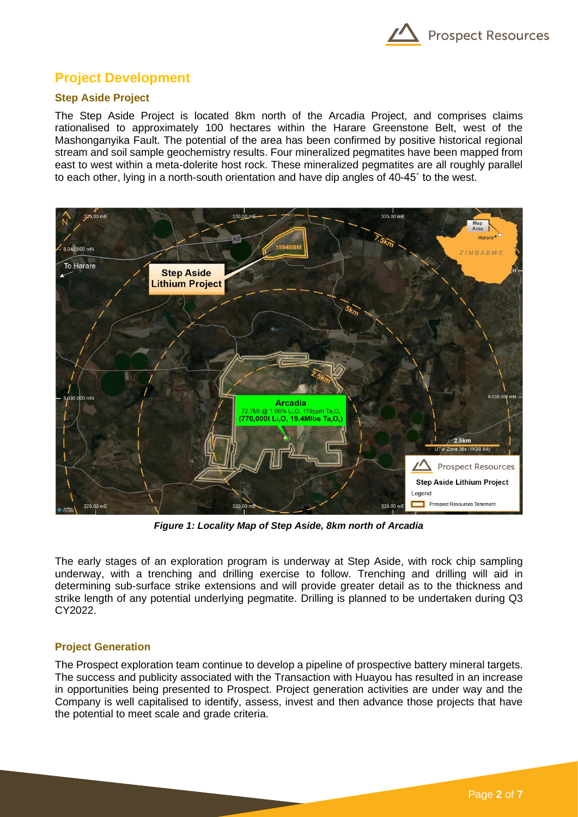

## **Project Development**

#### **Step Aside Project**

The Step Aside Project is located 8km north of the Arcadia Project, and comprises claims rationalised to approximately 100 hectares within the Harare Greenstone Belt, west of the Mashonganyika Fault. The potential of the area has been confirmed by positive historical regional stream and soil sample geochemistry results. Four mineralized pegmatites have been mapped from east to west within a meta-dolerite host rock. These mineralized pegmatites are all roughly parallel to each other, lying in a north-south orientation and have dip angles of 40-45˚ to the west.



*Figure 1: Locality Map of Step Aside, 8km north of Arcadia*

The early stages of an exploration program is underway at Step Aside, with rock chip sampling underway, with a trenching and drilling exercise to follow. Trenching and drilling will aid in determining sub-surface strike extensions and will provide greater detail as to the thickness and strike length of any potential underlying pegmatite. Drilling is planned to be undertaken during Q3 CY2022.

#### **Project Generation**

The Prospect exploration team continue to develop a pipeline of prospective battery mineral targets. The success and publicity associated with the Transaction with Huayou has resulted in an increase in opportunities being presented to Prospect. Project generation activities are under way and the Company is well capitalised to identify, assess, invest and then advance those projects that have the potential to meet scale and grade criteria.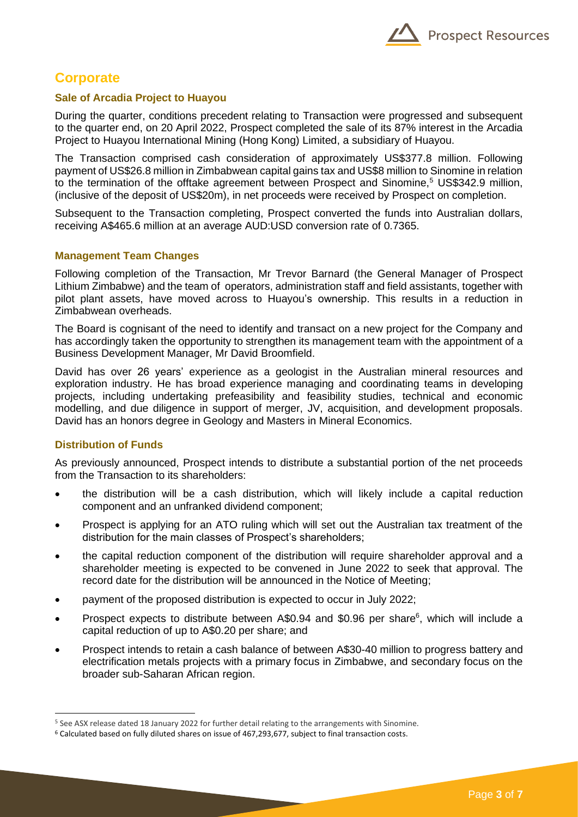

## **Corporate**

#### **Sale of Arcadia Project to Huayou**

During the quarter, conditions precedent relating to Transaction were progressed and subsequent to the quarter end, on 20 April 2022, Prospect completed the sale of its 87% interest in the Arcadia Project to Huayou International Mining (Hong Kong) Limited, a subsidiary of Huayou.

The Transaction comprised cash consideration of approximately US\$377.8 million. Following payment of US\$26.8 million in Zimbabwean capital gains tax and US\$8 million to Sinomine in relation to the termination of the offtake agreement between Prospect and Sinomine,<sup>5</sup> US\$342.9 million, (inclusive of the deposit of US\$20m), in net proceeds were received by Prospect on completion.

Subsequent to the Transaction completing, Prospect converted the funds into Australian dollars, receiving A\$465.6 million at an average AUD:USD conversion rate of 0.7365.

#### **Management Team Changes**

Following completion of the Transaction, Mr Trevor Barnard (the General Manager of Prospect Lithium Zimbabwe) and the team of operators, administration staff and field assistants, together with pilot plant assets, have moved across to Huayou's ownership. This results in a reduction in Zimbabwean overheads.

The Board is cognisant of the need to identify and transact on a new project for the Company and has accordingly taken the opportunity to strengthen its management team with the appointment of a Business Development Manager, Mr David Broomfield.

David has over 26 years' experience as a geologist in the Australian mineral resources and exploration industry. He has broad experience managing and coordinating teams in developing projects, including undertaking prefeasibility and feasibility studies, technical and economic modelling, and due diligence in support of merger, JV, acquisition, and development proposals. David has an honors degree in Geology and Masters in Mineral Economics.

#### **Distribution of Funds**

As previously announced, Prospect intends to distribute a substantial portion of the net proceeds from the Transaction to its shareholders:

- the distribution will be a cash distribution, which will likely include a capital reduction component and an unfranked dividend component;
- Prospect is applying for an ATO ruling which will set out the Australian tax treatment of the distribution for the main classes of Prospect's shareholders;
- the capital reduction component of the distribution will require shareholder approval and a shareholder meeting is expected to be convened in June 2022 to seek that approval. The record date for the distribution will be announced in the Notice of Meeting;
- payment of the proposed distribution is expected to occur in July 2022;
- Prospect expects to distribute between A\$0.94 and \$0.96 per share<sup>6</sup>, which will include a capital reduction of up to A\$0.20 per share; and
- Prospect intends to retain a cash balance of between A\$30-40 million to progress battery and electrification metals projects with a primary focus in Zimbabwe, and secondary focus on the broader sub-Saharan African region.

<sup>5</sup> See ASX release dated 18 January 2022 for further detail relating to the arrangements with Sinomine.

<sup>6</sup> Calculated based on fully diluted shares on issue of 467,293,677, subject to final transaction costs.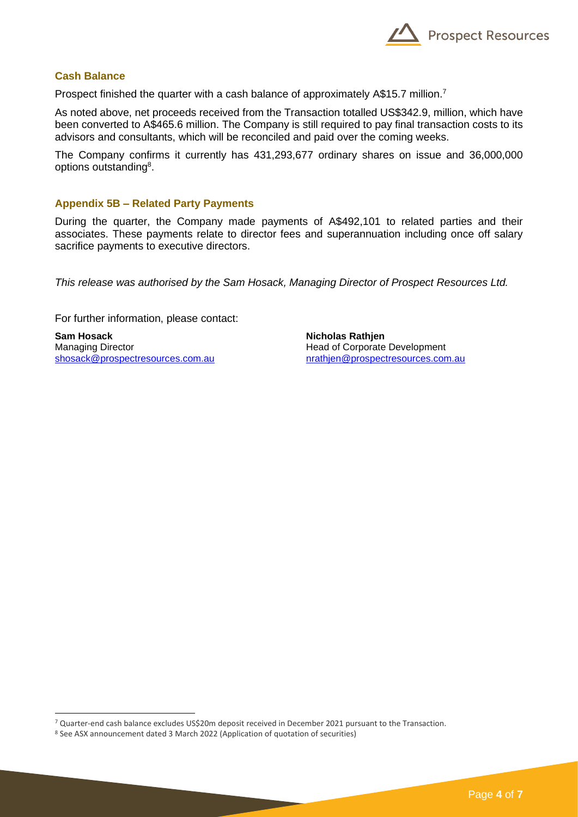

#### **Cash Balance**

Prospect finished the quarter with a cash balance of approximately A\$15.7 million.<sup>7</sup>

As noted above, net proceeds received from the Transaction totalled US\$342.9, million, which have been converted to A\$465.6 million. The Company is still required to pay final transaction costs to its advisors and consultants, which will be reconciled and paid over the coming weeks.

The Company confirms it currently has 431,293,677 ordinary shares on issue and 36,000,000 options outstanding<sup>8</sup>.

#### **Appendix 5B – Related Party Payments**

During the quarter, the Company made payments of A\$492,101 to related parties and their associates. These payments relate to director fees and superannuation including once off salary sacrifice payments to executive directors.

*This release was authorised by the Sam Hosack, Managing Director of Prospect Resources Ltd.* 

For further information, please contact:

**Sam Hosack**  Managing Director [shosack@prospectresources.com.au](mailto:shosack@prospectresources.com.au) **Nicholas Rathjen** Head of Corporate Development [nrathjen@prospectresources.com.au](mailto:nrathjen@prospectresources.com.au)

<sup>7</sup> Quarter-end cash balance excludes US\$20m deposit received in December 2021 pursuant to the Transaction.

<sup>8</sup> See ASX announcement dated 3 March 2022 (Application of quotation of securities)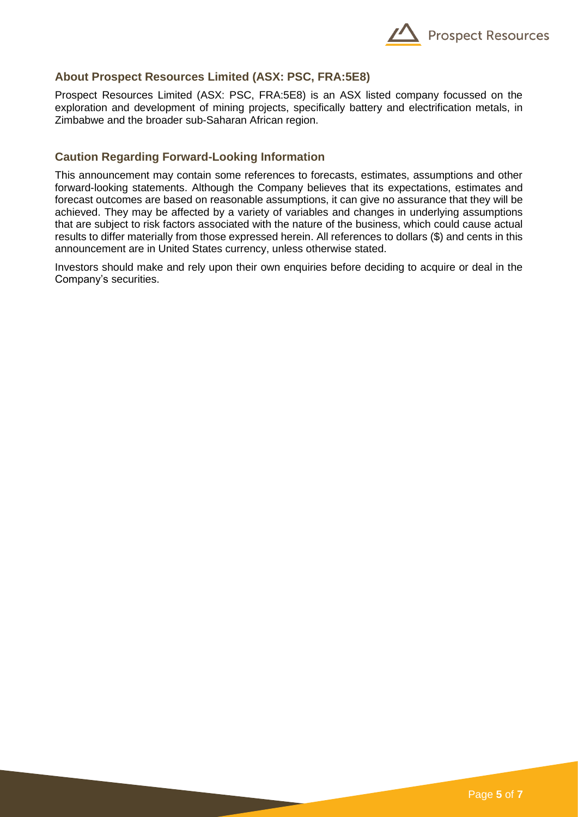

#### **About Prospect Resources Limited (ASX: PSC, FRA:5E8)**

Prospect Resources Limited (ASX: PSC, FRA:5E8) is an ASX listed company focussed on the exploration and development of mining projects, specifically battery and electrification metals, in Zimbabwe and the broader sub-Saharan African region.

#### **Caution Regarding Forward-Looking Information**

This announcement may contain some references to forecasts, estimates, assumptions and other forward-looking statements. Although the Company believes that its expectations, estimates and forecast outcomes are based on reasonable assumptions, it can give no assurance that they will be achieved. They may be affected by a variety of variables and changes in underlying assumptions that are subject to risk factors associated with the nature of the business, which could cause actual results to differ materially from those expressed herein. All references to dollars (\$) and cents in this announcement are in United States currency, unless otherwise stated.

Investors should make and rely upon their own enquiries before deciding to acquire or deal in the Company's securities.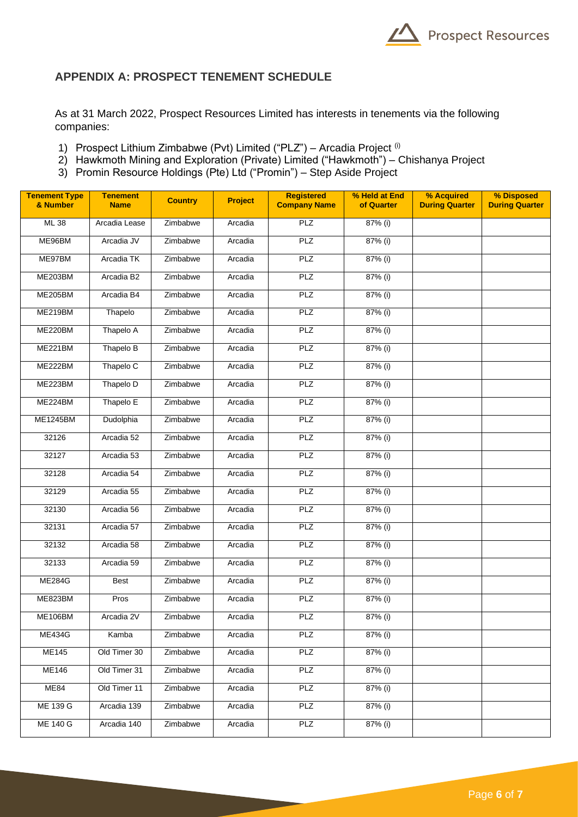

### **APPENDIX A: PROSPECT TENEMENT SCHEDULE**

As at 31 March 2022, Prospect Resources Limited has interests in tenements via the following companies:

- 1) Prospect Lithium Zimbabwe (Pvt) Limited ("PLZ") Arcadia Project (i)
- 2) Hawkmoth Mining and Exploration (Private) Limited ("Hawkmoth") Chishanya Project
- 3) Promin Resource Holdings (Pte) Ltd ("Promin") Step Aside Project

| <b>Tenement Type</b><br>& Number | <b>Tenement</b><br><b>Name</b> | <b>Country</b> | <b>Project</b> | <b>Registered</b><br><b>Company Name</b> | % Held at End<br>of Quarter | % Acquired<br><b>During Quarter</b> | % Disposed<br><b>During Quarter</b> |
|----------------------------------|--------------------------------|----------------|----------------|------------------------------------------|-----------------------------|-------------------------------------|-------------------------------------|
| ML 38                            | Arcadia Lease                  | Zimbabwe       | Arcadia        | PLZ                                      | 87% (i)                     |                                     |                                     |
| ME96BM                           | Arcadia JV                     | Zimbabwe       | Arcadia        | PLZ                                      | 87% (i)                     |                                     |                                     |
| ME97BM                           | Arcadia TK                     | Zimbabwe       | Arcadia        | <b>PLZ</b>                               | $87%$ (i)                   |                                     |                                     |
| <b>ME203BM</b>                   | Arcadia B2                     | Zimbabwe       | Arcadia        | PLZ                                      | 87% (i)                     |                                     |                                     |
| <b>ME205BM</b>                   | Arcadia B4                     | Zimbabwe       | Arcadia        | <b>PLZ</b>                               | 87% (i)                     |                                     |                                     |
| ME219BM                          | Thapelo                        | Zimbabwe       | Arcadia        | PLZ                                      | 87% (i)                     |                                     |                                     |
| ME220BM                          | Thapelo A                      | Zimbabwe       | Arcadia        | PLZ                                      | 87% (i)                     |                                     |                                     |
| ME221BM                          | Thapelo B                      | Zimbabwe       | Arcadia        | <b>PLZ</b>                               | 87% (i)                     |                                     |                                     |
| ME222BM                          | Thapelo C                      | Zimbabwe       | Arcadia        | <b>PLZ</b>                               | 87% (i)                     |                                     |                                     |
| ME223BM                          | Thapelo D                      | Zimbabwe       | Arcadia        | <b>PLZ</b>                               | 87% (i)                     |                                     |                                     |
| ME224BM                          | Thapelo E                      | Zimbabwe       | Arcadia        | <b>PLZ</b>                               | 87% (i)                     |                                     |                                     |
| <b>ME1245BM</b>                  | Dudolphia                      | Zimbabwe       | Arcadia        | <b>PLZ</b>                               | 87% (i)                     |                                     |                                     |
| 32126                            | Arcadia 52                     | Zimbabwe       | Arcadia        | PLZ                                      | 87% (i)                     |                                     |                                     |
| 32127                            | Arcadia 53                     | Zimbabwe       | Arcadia        | <b>PLZ</b>                               | 87% (i)                     |                                     |                                     |
| 32128                            | Arcadia 54                     | Zimbabwe       | Arcadia        | PLZ                                      | 87% (i)                     |                                     |                                     |
| 32129                            | Arcadia 55                     | Zimbabwe       | Arcadia        | PLZ                                      | 87% (i)                     |                                     |                                     |
| 32130                            | Arcadia 56                     | Zimbabwe       | Arcadia        | <b>PLZ</b>                               | 87% (i)                     |                                     |                                     |
| 32131                            | Arcadia 57                     | Zimbabwe       | Arcadia        | <b>PLZ</b>                               | 87% (i)                     |                                     |                                     |
| 32132                            | Arcadia 58                     | Zimbabwe       | Arcadia        | <b>PLZ</b>                               | 87% (i)                     |                                     |                                     |
| 32133                            | Arcadia 59                     | Zimbabwe       | Arcadia        | <b>PLZ</b>                               | 87% (i)                     |                                     |                                     |
| <b>ME284G</b>                    | <b>Best</b>                    | Zimbabwe       | Arcadia        | <b>PLZ</b>                               | 87% (i)                     |                                     |                                     |
| ME823BM                          | Pros                           | Zimbabwe       | Arcadia        | <b>PLZ</b>                               | $87%$ (i)                   |                                     |                                     |
| <b>ME106BM</b>                   | Arcadia 2V                     | Zimbabwe       | Arcadia        | PLZ                                      | 87% (i)                     |                                     |                                     |
| <b>ME434G</b>                    | Kamba                          | Zimbabwe       | Arcadia        | PLZ                                      | 87% (i)                     |                                     |                                     |
| <b>ME145</b>                     | Old Timer 30                   | Zimbabwe       | Arcadia        | <b>PLZ</b>                               | 87% (i)                     |                                     |                                     |
| <b>ME146</b>                     | Old Timer 31                   | Zimbabwe       | Arcadia        | <b>PLZ</b>                               | 87% (i)                     |                                     |                                     |
| <b>ME84</b>                      | Old Timer 11                   | Zimbabwe       | Arcadia        | <b>PLZ</b>                               | 87% (i)                     |                                     |                                     |
| <b>ME 139 G</b>                  | Arcadia 139                    | Zimbabwe       | Arcadia        | PLZ                                      | 87% (i)                     |                                     |                                     |
| <b>ME 140 G</b>                  | Arcadia 140                    | Zimbabwe       | Arcadia        | PLZ                                      | 87% (i)                     |                                     |                                     |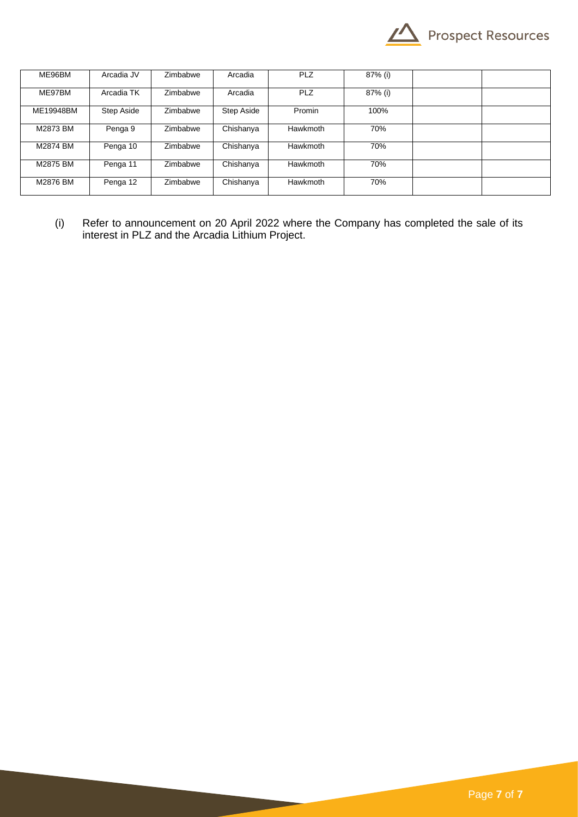

| ME96BM    | Arcadia JV | Zimbabwe | Arcadia    | <b>PLZ</b> | 87% (i) |  |
|-----------|------------|----------|------------|------------|---------|--|
| ME97BM    | Arcadia TK | Zimbabwe | Arcadia    | <b>PLZ</b> | 87% (i) |  |
| ME19948BM | Step Aside | Zimbabwe | Step Aside | Promin     | 100%    |  |
| M2873 BM  | Penga 9    | Zimbabwe | Chishanya  | Hawkmoth   | 70%     |  |
| M2874 BM  | Penga 10   | Zimbabwe | Chishanya  | Hawkmoth   | 70%     |  |
| M2875 BM  | Penga 11   | Zimbabwe | Chishanya  | Hawkmoth   | 70%     |  |
| M2876 BM  | Penga 12   | Zimbabwe | Chishanya  | Hawkmoth   | 70%     |  |

(i) Refer to announcement on 20 April 2022 where the Company has completed the sale of its interest in PLZ and the Arcadia Lithium Project.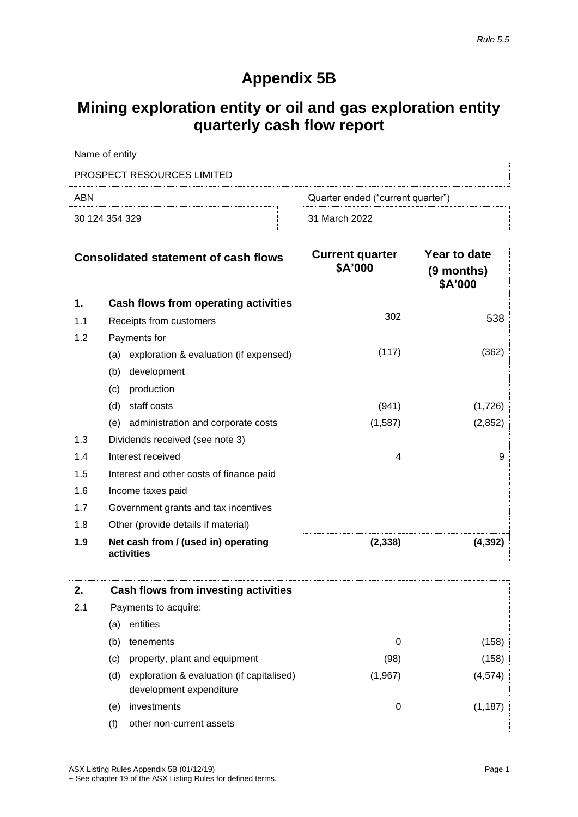## **Appendix 5B**

## **Mining exploration entity or oil and gas exploration entity quarterly cash flow report**

| Name of entity                           |               |  |  |  |
|------------------------------------------|---------------|--|--|--|
| <b>PROSPECT RESOURCES LIMITED</b>        |               |  |  |  |
| ABN<br>Quarter ended ("current quarter") |               |  |  |  |
| 30 124 354 329                           | 31 March 2022 |  |  |  |

|     | <b>Consolidated statement of cash flows</b>       | <b>Current quarter</b><br>\$A'000 | Year to date<br>(9 months)<br>\$A'000 |
|-----|---------------------------------------------------|-----------------------------------|---------------------------------------|
| 1.  | Cash flows from operating activities              |                                   |                                       |
| 1.1 | Receipts from customers                           | 302                               | 538                                   |
| 1.2 | Payments for                                      |                                   |                                       |
|     | exploration & evaluation (if expensed)<br>(a)     | (117)                             | (362)                                 |
|     | (b)<br>development                                |                                   |                                       |
|     | (c)<br>production                                 |                                   |                                       |
|     | staff costs<br>(d)                                | (941)                             | (1,726)                               |
|     | (e)<br>administration and corporate costs         | (1,587)                           | (2,852)                               |
| 1.3 | Dividends received (see note 3)                   |                                   |                                       |
| 1.4 | Interest received                                 | 4                                 | 9                                     |
| 1.5 | Interest and other costs of finance paid          |                                   |                                       |
| 1.6 | Income taxes paid                                 |                                   |                                       |
| 1.7 | Government grants and tax incentives              |                                   |                                       |
| 1.8 | Other (provide details if material)               |                                   |                                       |
| 1.9 | Net cash from / (used in) operating<br>activities | (2, 338)                          | (4, 392)                              |

| 2.  |     | Cash flows from investing activities      |         |          |
|-----|-----|-------------------------------------------|---------|----------|
| 2.1 |     | Payments to acquire:                      |         |          |
|     | (a) | entities                                  |         |          |
|     | (b) | tenements                                 | 0       | (158)    |
|     | (C) | property, plant and equipment             | (98)    | (158)    |
|     | (d) | exploration & evaluation (if capitalised) | (1,967) | (4,574)  |
|     |     | development expenditure                   |         |          |
|     | (e) | investments                               | 0       | (1, 187) |
|     | (f) | other non-current assets                  |         |          |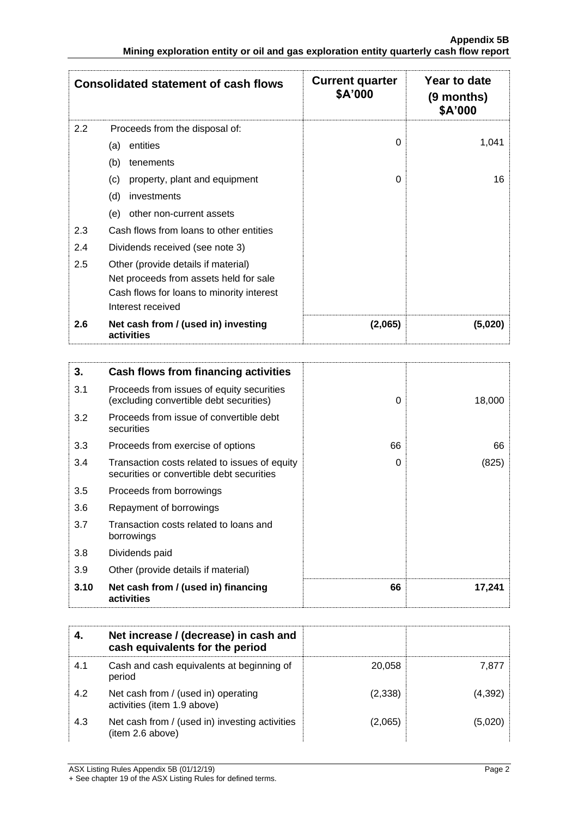|     | <b>Consolidated statement of cash flows</b>       | <b>Current quarter</b><br>\$A'000 | Year to date<br>(9 months)<br>\$A'000 |
|-----|---------------------------------------------------|-----------------------------------|---------------------------------------|
| 2.2 | Proceeds from the disposal of:                    |                                   |                                       |
|     | entities<br>(a)                                   | $\Omega$                          | 1,041                                 |
|     | (b)<br>tenements                                  |                                   |                                       |
|     | property, plant and equipment<br>(c)              | 0                                 | 16                                    |
|     | (d)<br>investments                                |                                   |                                       |
|     | other non-current assets<br>(e)                   |                                   |                                       |
| 2.3 | Cash flows from loans to other entities           |                                   |                                       |
| 2.4 | Dividends received (see note 3)                   |                                   |                                       |
| 2.5 | Other (provide details if material)               |                                   |                                       |
|     | Net proceeds from assets held for sale            |                                   |                                       |
|     | Cash flows for loans to minority interest         |                                   |                                       |
|     | Interest received                                 |                                   |                                       |
| 2.6 | Net cash from / (used in) investing<br>activities | (2,065)                           | (5,020)                               |

| 3.   | Cash flows from financing activities                                                       |          |        |
|------|--------------------------------------------------------------------------------------------|----------|--------|
| 3.1  | Proceeds from issues of equity securities<br>(excluding convertible debt securities)       | 0        | 18,000 |
| 3.2  | Proceeds from issue of convertible debt<br>securities                                      |          |        |
| 3.3  | Proceeds from exercise of options                                                          | 66       | 66     |
| 3.4  | Transaction costs related to issues of equity<br>securities or convertible debt securities | $\Omega$ | (825)  |
| 3.5  | Proceeds from borrowings                                                                   |          |        |
| 3.6  | Repayment of borrowings                                                                    |          |        |
| 3.7  | Transaction costs related to loans and<br>borrowings                                       |          |        |
| 3.8  | Dividends paid                                                                             |          |        |
| 3.9  | Other (provide details if material)                                                        |          |        |
| 3.10 | Net cash from / (used in) financing<br>activities                                          | 66       | 17,241 |

|     | Net increase / (decrease) in cash and<br>cash equivalents for the period |         |         |
|-----|--------------------------------------------------------------------------|---------|---------|
| 4.1 | Cash and cash equivalents at beginning of<br>period                      | 20,058  | 7.877   |
| 4.2 | Net cash from / (used in) operating<br>activities (item 1.9 above)       | (2,338) | (4,392) |
| 4.3 | Net cash from / (used in) investing activities<br>(item 2.6 above)       | (2,065) | (5,020) |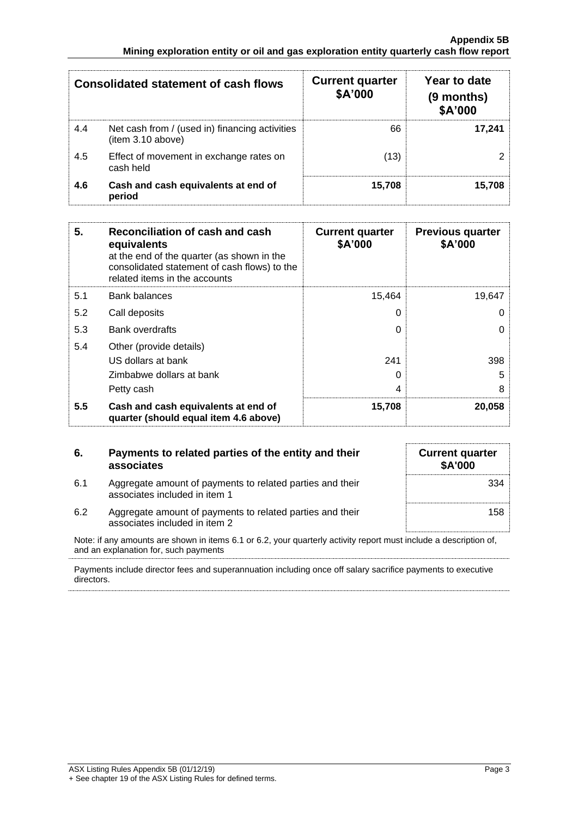|     | <b>Consolidated statement of cash flows</b>                         | <b>Current quarter</b><br>\$A'000 | Year to date<br>(9 months)<br>\$A'000 |
|-----|---------------------------------------------------------------------|-----------------------------------|---------------------------------------|
| 4.4 | Net cash from / (used in) financing activities<br>(item 3.10 above) | 66                                | 17.241                                |
| 4.5 | Effect of movement in exchange rates on<br>cash held                | (13)                              |                                       |
| 4.6 | Cash and cash equivalents at end of<br>period                       | 15,708                            | 15.708                                |

| 5.  | Reconciliation of cash and cash<br>equivalents<br>at the end of the quarter (as shown in the<br>consolidated statement of cash flows) to the<br>related items in the accounts | <b>Current quarter</b><br>\$A'000 | <b>Previous quarter</b><br>\$A'000 |
|-----|-------------------------------------------------------------------------------------------------------------------------------------------------------------------------------|-----------------------------------|------------------------------------|
| 5.1 | <b>Bank balances</b>                                                                                                                                                          | 15,464                            | 19,647                             |
| 5.2 | Call deposits                                                                                                                                                                 | 0                                 | O                                  |
| 5.3 | <b>Bank overdrafts</b>                                                                                                                                                        | 0                                 | ი                                  |
| 5.4 | Other (provide details)                                                                                                                                                       |                                   |                                    |
|     | US dollars at bank                                                                                                                                                            | 241                               | 398                                |
|     | Zimbabwe dollars at bank                                                                                                                                                      | 0                                 | 5                                  |
|     | Petty cash                                                                                                                                                                    | 4                                 | 8                                  |
| 5.5 | Cash and cash equivalents at end of<br>quarter (should equal item 4.6 above)                                                                                                  | 15,708                            | 20,058                             |

| 6.                                                                                                                                                         | Payments to related parties of the entity and their<br>associates                          | <b>Current quarter</b><br><b>\$A'000</b> |  |  |
|------------------------------------------------------------------------------------------------------------------------------------------------------------|--------------------------------------------------------------------------------------------|------------------------------------------|--|--|
| 6.1                                                                                                                                                        | Aggregate amount of payments to related parties and their<br>associates included in item 1 | 334                                      |  |  |
| 6.2                                                                                                                                                        | Aggregate amount of payments to related parties and their<br>associates included in item 2 | 158                                      |  |  |
| Note: if any amounts are shown in items 6.1 or 6.2, your quarterly activity report must include a description of,<br>and an explanation for, such payments |                                                                                            |                                          |  |  |
| Payments include director fees and superannuation including once off salary sacrifice payments to executive                                                |                                                                                            |                                          |  |  |

Payments include director fees and superannuation including once off salary sacrifice payments to executive directors.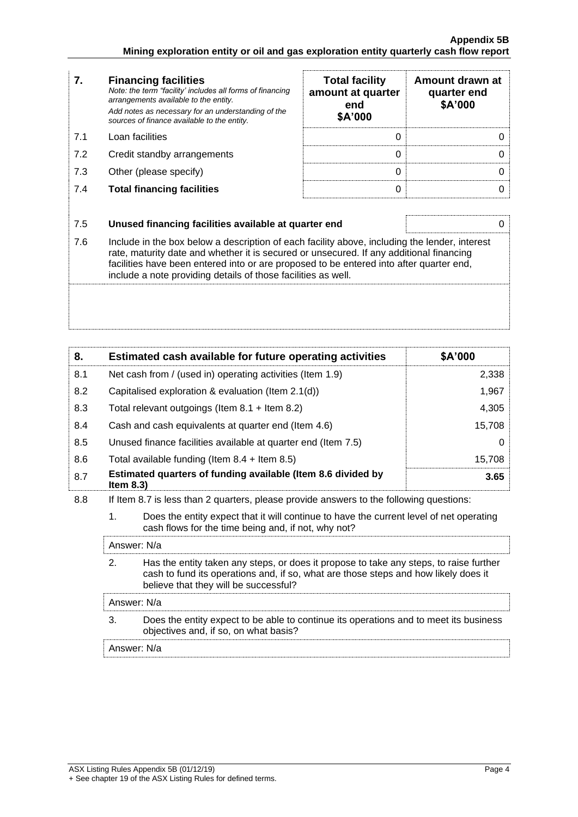| 7.  | <b>Financing facilities</b><br>Note: the term "facility' includes all forms of financing<br>arrangements available to the entity.<br>Add notes as necessary for an understanding of the<br>sources of finance available to the entity.                                                                                                               | <b>Total facility</b><br>amount at quarter<br>end<br>\$A'000 | Amount drawn at<br>quarter end<br>\$A'000 |
|-----|------------------------------------------------------------------------------------------------------------------------------------------------------------------------------------------------------------------------------------------------------------------------------------------------------------------------------------------------------|--------------------------------------------------------------|-------------------------------------------|
| 7.1 | Loan facilities                                                                                                                                                                                                                                                                                                                                      | $\Omega$                                                     | 0                                         |
| 7.2 | Credit standby arrangements                                                                                                                                                                                                                                                                                                                          | 0                                                            | Ω                                         |
| 7.3 | Other (please specify)                                                                                                                                                                                                                                                                                                                               | 0                                                            | 0                                         |
| 7.4 | <b>Total financing facilities</b>                                                                                                                                                                                                                                                                                                                    | 0                                                            | 0                                         |
|     |                                                                                                                                                                                                                                                                                                                                                      |                                                              |                                           |
| 7.5 | Unused financing facilities available at quarter end                                                                                                                                                                                                                                                                                                 |                                                              | 0                                         |
| 7.6 | Include in the box below a description of each facility above, including the lender, interest<br>rate, maturity date and whether it is secured or unsecured. If any additional financing<br>facilities have been entered into or are proposed to be entered into after quarter end,<br>include a note providing details of those facilities as well. |                                                              |                                           |
|     |                                                                                                                                                                                                                                                                                                                                                      |                                                              |                                           |

| 8.  | Estimated cash available for future operating activities                     | \$A'000 |
|-----|------------------------------------------------------------------------------|---------|
| 8.1 | Net cash from / (used in) operating activities (Item 1.9)                    | 2,338   |
| 8.2 | Capitalised exploration & evaluation (Item 2.1(d))                           | 1,967   |
| 8.3 | Total relevant outgoings (Item $8.1 +$ Item $8.2$ )                          | 4,305   |
| 8.4 | Cash and cash equivalents at quarter end (Item 4.6)                          | 15,708  |
| 8.5 | Unused finance facilities available at quarter end (Item 7.5)                |         |
| 8.6 | Total available funding (Item $8.4$ + Item $8.5$ )                           | 15,708  |
| 8.7 | Estimated quarters of funding available (Item 8.6 divided by<br>Item $8.3$ ) | 3.65    |

- 8.8 If Item 8.7 is less than 2 quarters, please provide answers to the following questions:
	- 1. Does the entity expect that it will continue to have the current level of net operating cash flows for the time being and, if not, why not?

| Answer: N/a                                                                                                                                                                                                            |
|------------------------------------------------------------------------------------------------------------------------------------------------------------------------------------------------------------------------|
| Has the entity taken any steps, or does it propose to take any steps, to raise further<br>cash to fund its operations and, if so, what are those steps and how likely does it<br>believe that they will be successful? |
| Answer: N/a                                                                                                                                                                                                            |
| Does the entity expect to be able to continue its operations and to meet its business<br>objectives and, if so, on what basis?                                                                                         |
| Answer: N/a                                                                                                                                                                                                            |